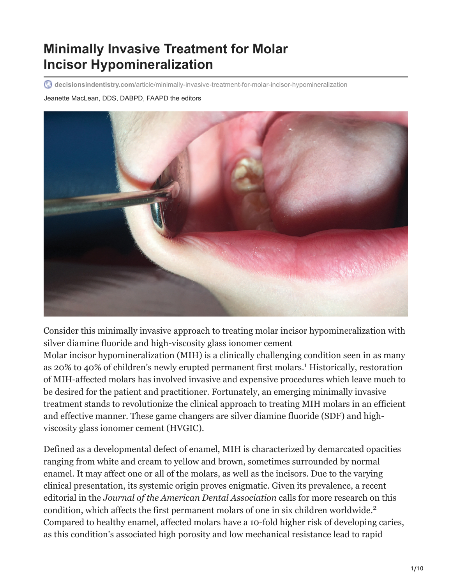# **Minimally Invasive Treatment for Molar Incisor Hypomineralization**

**decisionsindentistry.com**[/article/minimally-invasive-treatment-for-molar-incisor-hypomineralization](https://decisionsindentistry.com/article/minimally-invasive-treatment-for-molar-incisor-hypomineralization/)

Jeanette MacLean, DDS, DABPD, FAAPD the editors



Consider this minimally invasive approach to treating molar incisor hypomineralization with silver diamine fluoride and high-viscosity glass ionomer cement Molar incisor hypomineralization (MIH) is a clinically challenging condition seen in as many as 20% to 40% of children's newly erupted permanent first molars.<sup>1</sup> Historically, restoration of MIH-affected molars has involved invasive and expensive procedures which leave much to be desired for the patient and practitioner. Fortunately, an emerging minimally invasive treatment stands to revolutionize the clinical approach to treating MIH molars in an efficient and effective manner. These game changers are silver diamine fluoride (SDF) and highviscosity glass ionomer cement (HVGIC).

Defined as a developmental defect of enamel, MIH is characterized by demarcated opacities ranging from white and cream to yellow and brown, sometimes surrounded by normal enamel. It may affect one or all of the molars, as well as the incisors. Due to the varying clinical presentation, its systemic origin proves enigmatic. Given its prevalence, a recent editorial in the *Journal of the American Dental Association* calls for more research on this condition, which affects the first permanent molars of one in six children worldwide. 2Compared to healthy enamel, affected molars have a 10-fold higher risk of developing caries, as this condition's associated high porosity and low mechanical resistance lead to rapid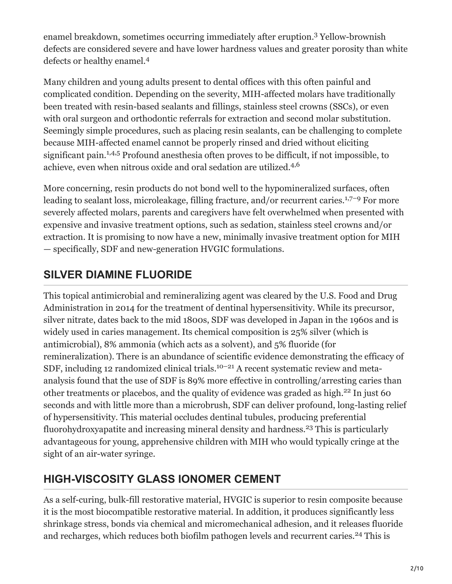enamel breakdown, sometimes occurring immediately after eruption.<sup>3</sup> Yellow-brownish defects are considered severe and have lower hardness values and greater porosity than white defects or healthy enamel. 4

Many children and young adults present to dental offices with this often painful and complicated condition. Depending on the severity, MIH-affected molars have traditionally been treated with resin-based sealants and fillings, stainless steel crowns (SSCs), or even with oral surgeon and orthodontic referrals for extraction and second molar substitution. Seemingly simple procedures, such as placing resin sealants, can be challenging to complete because MIH-affected enamel cannot be properly rinsed and dried without eliciting significant pain.<sup>1,4,5</sup> Profound anesthesia often proves to be difficult, if not impossible, to achieve, even when nitrous oxide and oral sedation are utilized.<sup>4,6</sup>

More concerning, resin products do not bond well to the hypomineralized surfaces, often leading to sealant loss, microleakage, filling fracture, and/or recurrent caries.<sup>1,7-9</sup> For more severely affected molars, parents and caregivers have felt overwhelmed when presented with expensive and invasive treatment options, such as sedation, stainless steel crowns and/or extraction. It is promising to now have a new, minimally invasive treatment option for MIH — specifically, SDF and new-generation HVGIC formulations.

# **SILVER DIAMINE FLUORIDE**

This topical antimicrobial and remineralizing agent was cleared by the U.S. Food and Drug Administration in 2014 for the treatment of dentinal hypersensitivity. While its precursor, silver nitrate, dates back to the mid 1800s, SDF was developed in Japan in the 1960s and is widely used in caries management. Its chemical composition is 25% silver (which is antimicrobial), 8% ammonia (which acts as a solvent), and 5% fluoride (for remineralization). There is an abundance of scientific evidence demonstrating the efficacy of SDF, including 12 randomized clinical trials.<sup>10-21</sup> A recent systematic review and metaanalysis found that the use of SDF is 89% more effective in controlling/arresting caries than other treatments or placebos, and the quality of evidence was graded as high.<sup>22</sup> In just 60 seconds and with little more than a microbrush, SDF can deliver profound, long-lasting relief of hypersensitivity. This material occludes dentinal tubules, producing preferential fluorohydroxyapatite and increasing mineral density and hardness.<sup>23</sup> This is particularly advantageous for young, apprehensive children with MIH who would typically cringe at the sight of an air-water syringe.

# **HIGH-VISCOSITY GLASS IONOMER CEMENT**

As a self-curing, bulk-fill restorative material, HVGIC is superior to resin composite because it is the most biocompatible restorative material. In addition, it produces significantly less shrinkage stress, bonds via chemical and micromechanical adhesion, and it releases fluoride and recharges, which reduces both biofilm pathogen levels and recurrent caries.<sup>24</sup> This is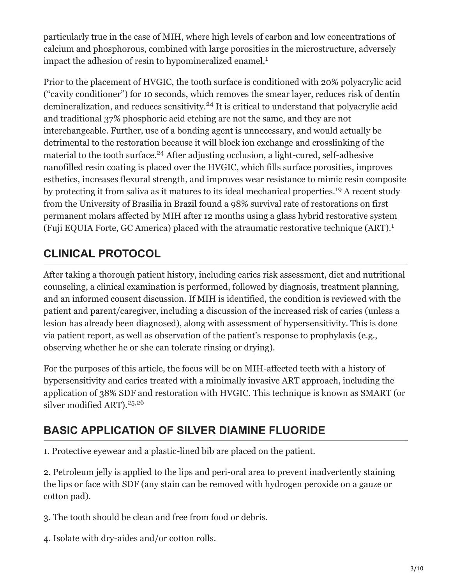particularly true in the case of MIH, where high levels of carbon and low concentrations of calcium and phosphorous, combined with large porosities in the microstructure, adversely impact the adhesion of resin to hypomineralized enamel.<sup>1</sup>

Prior to the placement of HVGIC, the tooth surface is conditioned with 20% polyacrylic acid ("cavity conditioner") for 10 seconds, which removes the smear layer, reduces risk of dentin demineralization, and reduces sensitivity.<sup>24</sup> It is critical to understand that polyacrylic acid and traditional 37% phosphoric acid etching are not the same, and they are not interchangeable. Further, use of a bonding agent is unnecessary, and would actually be detrimental to the restoration because it will block ion exchange and crosslinking of the material to the tooth surface.<sup>24</sup> After adjusting occlusion, a light-cured, self-adhesive nanofilled resin coating is placed over the HVGIC, which fills surface porosities, improves esthetics, increases flexural strength, and improves wear resistance to mimic resin composite by protecting it from saliva as it matures to its ideal mechanical properties.<sup>19</sup> A recent study from the University of Brasilia in Brazil found a 98% survival rate of restorations on first permanent molars affected by MIH after 12 months using a glass hybrid restorative system (Fuji EQUIA Forte, GC America) placed with the atraumatic restorative technique (ART). 1

# **CLINICAL PROTOCOL**

After taking a thorough patient history, including caries risk assessment, diet and nutritional counseling, a clinical examination is performed, followed by diagnosis, treatment planning, and an informed consent discussion. If MIH is identified, the condition is reviewed with the patient and parent/caregiver, including a discussion of the increased risk of caries (unless a lesion has already been diagnosed), along with assessment of hypersensitivity. This is done via patient report, as well as observation of the patient's response to prophylaxis (e.g., observing whether he or she can tolerate rinsing or drying).

For the purposes of this article, the focus will be on MIH-affected teeth with a history of hypersensitivity and caries treated with a minimally invasive ART approach, including the application of 38% SDF and restoration with HVGIC. This technique is known as SMART (or silver modified ART). 25,26

# **BASIC APPLICATION OF SILVER DIAMINE FLUORIDE**

1. Protective eyewear and a plastic-lined bib are placed on the patient.

2. Petroleum jelly is applied to the lips and peri-oral area to prevent inadvertently staining the lips or face with SDF (any stain can be removed with hydrogen peroxide on a gauze or cotton pad).

3. The tooth should be clean and free from food or debris.

4. Isolate with dry-aides and/or cotton rolls.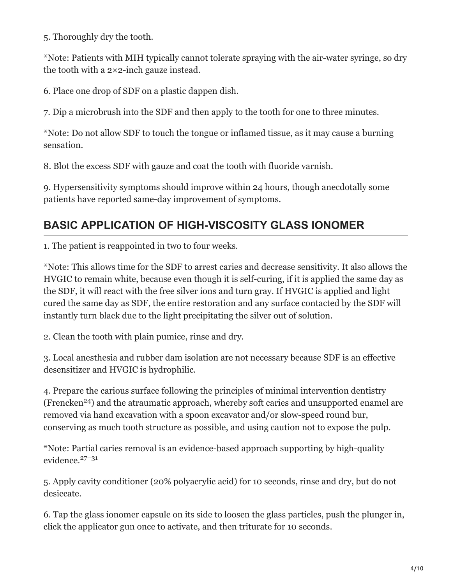5. Thoroughly dry the tooth.

\*Note: Patients with MIH typically cannot tolerate spraying with the air-water syringe, so dry the tooth with a 2×2-inch gauze instead.

6. Place one drop of SDF on a plastic dappen dish.

7. Dip a microbrush into the SDF and then apply to the tooth for one to three minutes.

\*Note: Do not allow SDF to touch the tongue or inflamed tissue, as it may cause a burning sensation.

8. Blot the excess SDF with gauze and coat the tooth with fluoride varnish.

9. Hypersensitivity symptoms should improve within 24 hours, though anecdotally some patients have reported same-day improvement of symptoms.

#### **BASIC APPLICATION OF HIGH-VISCOSITY GLASS IONOMER**

1. The patient is reappointed in two to four weeks.

\*Note: This allows time for the SDF to arrest caries and decrease sensitivity. It also allows the HVGIC to remain white, because even though it is self-curing, if it is applied the same day as the SDF, it will react with the free silver ions and turn gray. If HVGIC is applied and light cured the same day as SDF, the entire restoration and any surface contacted by the SDF will instantly turn black due to the light precipitating the silver out of solution.

2. Clean the tooth with plain pumice, rinse and dry.

3. Local anesthesia and rubber dam isolation are not necessary because SDF is an effective desensitizer and HVGIC is hydrophilic.

4. Prepare the carious surface following the principles of minimal intervention dentistry (Frencken<sup>24</sup>) and the atraumatic approach, whereby soft caries and unsupported enamel are removed via hand excavation with a spoon excavator and/or slow-speed round bur, conserving as much tooth structure as possible, and using caution not to expose the pulp.

\*Note: Partial caries removal is an evidence-based approach supporting by high-quality evidence. 27–31

5. Apply cavity conditioner (20% polyacrylic acid) for 10 seconds, rinse and dry, but do not desiccate.

6. Tap the glass ionomer capsule on its side to loosen the glass particles, push the plunger in, click the applicator gun once to activate, and then triturate for 10 seconds.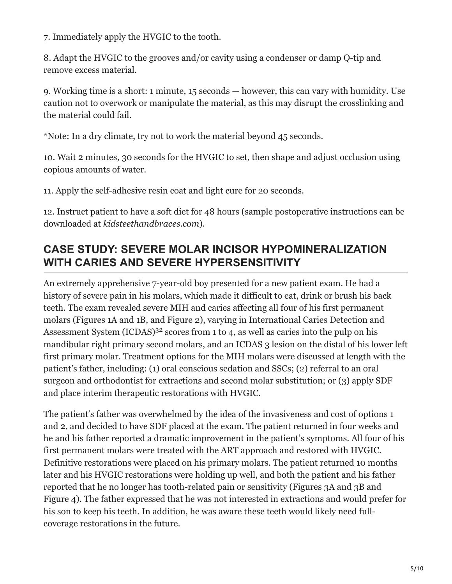7. Immediately apply the HVGIC to the tooth.

8. Adapt the HVGIC to the grooves and/or cavity using a condenser or damp Q-tip and remove excess material.

9. Working time is a short: 1 minute, 15 seconds — however, this can vary with humidity. Use caution not to overwork or manipulate the material, as this may disrupt the crosslinking and the material could fail.

\*Note: In a dry climate, try not to work the material beyond 45 seconds.

10. Wait 2 minutes, 30 seconds for the HVGIC to set, then shape and adjust occlusion using copious amounts of water.

11. Apply the self-adhesive resin coat and light cure for 20 seconds.

12. Instruct patient to have a soft diet for 48 hours (sample postoperative instructions can be downloaded at *kidsteethandbraces.com*).

#### **CASE STUDY: SEVERE MOLAR INCISOR HYPOMINERALIZATION WITH CARIES AND SEVERE HYPERSENSITIVITY**

An extremely apprehensive 7-year-old boy presented for a new patient exam. He had a history of severe pain in his molars, which made it difficult to eat, drink or brush his back teeth. The exam revealed severe MIH and caries affecting all four of his first permanent molars (Figures 1A and 1B, and Figure 2), varying in International Caries Detection and Assessment System (ICDAS)<sup>32</sup> scores from 1 to 4, as well as caries into the pulp on his mandibular right primary second molars, and an ICDAS 3 lesion on the distal of his lower left first primary molar. Treatment options for the MIH molars were discussed at length with the patient's father, including: (1) oral conscious sedation and SSCs; (2) referral to an oral surgeon and orthodontist for extractions and second molar substitution; or (3) apply SDF and place interim therapeutic restorations with HVGIC.

The patient's father was overwhelmed by the idea of the invasiveness and cost of options 1 and 2, and decided to have SDF placed at the exam. The patient returned in four weeks and he and his father reported a dramatic improvement in the patient's symptoms. All four of his first permanent molars were treated with the ART approach and restored with HVGIC. Definitive restorations were placed on his primary molars. The patient returned 10 months later and his HVGIC restorations were holding up well, and both the patient and his father reported that he no longer has tooth-related pain or sensitivity (Figures 3A and 3B and Figure 4). The father expressed that he was not interested in extractions and would prefer for his son to keep his teeth. In addition, he was aware these teeth would likely need fullcoverage restorations in the future.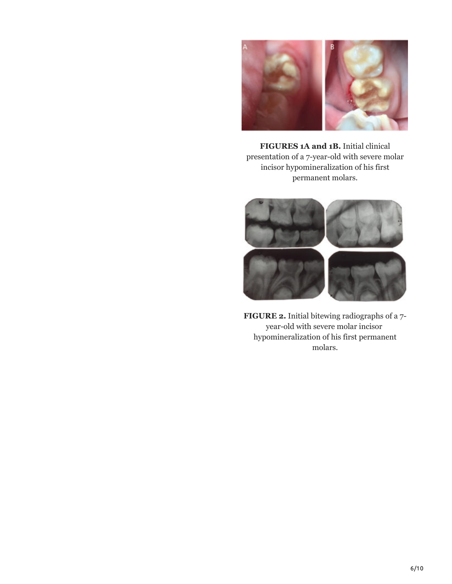

**FIGURES 1A and 1B.** Initial clinical presentation of a 7-year-old with severe molar incisor hypomineralization of his first permanent molars.



**FIGURE 2.** Initial bitewing radiographs of a 7 year-old with severe molar incisor hypomineralization of his first permanent molars.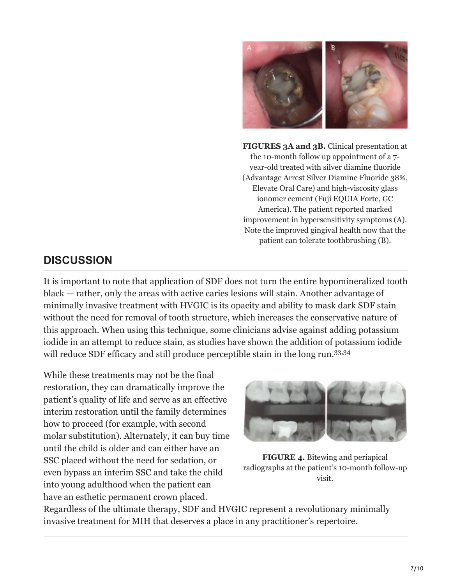

**FIGURES 3A and 3B.** Clinical presentation at the 10-month follow up appointment of a 7 year-old treated with silver diamine fluoride (Advantage Arrest Silver Diamine Fluoride 38%, Elevate Oral Care) and high-viscosity glass ionomer cement (Fuji EQUIA Forte, GC America). The patient reported marked improvement in hypersensitivity symptoms (A). Note the improved gingival health now that the patient can tolerate toothbrushing (B).

#### **DISCUSSION**

It is important to note that application of SDF does not turn the entire hypomineralized tooth black — rather, only the areas with active caries lesions will stain. Another advantage of minimally invasive treatment with HVGIC is its opacity and ability to mask dark SDF stain without the need for removal of tooth structure, which increases the conservative nature of this approach. When using this technique, some clinicians advise against adding potassium iodide in an attempt to reduce stain, as studies have shown the addition of potassium iodide will reduce SDF efficacy and still produce perceptible stain in the long run.<sup>33,34</sup>

While these treatments may not be the final restoration, they can dramatically improve the patient's quality of life and serve as an effective interim restoration until the family determines how to proceed (for example, with second molar substitution). Alternately, it can buy time until the child is older and can either have an SSC placed without the need for sedation, or even bypass an interim SSC and take the child into young adulthood when the patient can have an esthetic permanent crown placed.



**FIGURE 4.** Bitewing and periapical radiographs at the patient's 10-month follow-up visit.

Regardless of the ultimate therapy, SDF and HVGIC represent a revolutionary minimally invasive treatment for MIH that deserves a place in any practitioner's repertoire.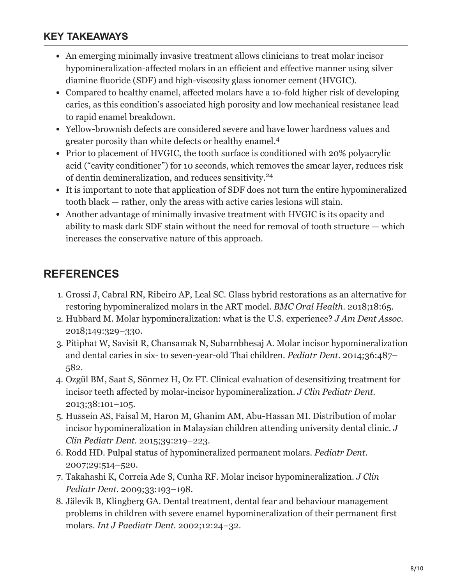#### **KEY TAKEAWAYS**

- An emerging minimally invasive treatment allows clinicians to treat molar incisor hypomineralization-affected molars in an efficient and effective manner using silver diamine fluoride (SDF) and high-viscosity glass ionomer cement (HVGIC).
- Compared to healthy enamel, affected molars have a 10-fold higher risk of developing caries, as this condition's associated high porosity and low mechanical resistance lead to rapid enamel breakdown.
- Yellow-brownish defects are considered severe and have lower hardness values and greater porosity than white defects or healthy enamel. 4
- Prior to placement of HVGIC, the tooth surface is conditioned with 20% polyacrylic acid ("cavity conditioner") for 10 seconds, which removes the smear layer, reduces risk of dentin demineralization, and reduces sensitivity.<sup>24</sup>
- It is important to note that application of SDF does not turn the entire hypomineralized tooth black — rather, only the areas with active caries lesions will stain.
- Another advantage of minimally invasive treatment with HVGIC is its opacity and ability to mask dark SDF stain without the need for removal of tooth structure — which increases the conservative nature of this approach.

#### **REFERENCES**

- 1. Grossi J, Cabral RN, Ribeiro AP, Leal SC. Glass hybrid restorations as an alternative for restoring hypomineralized molars in the ART model. *BMC Oral Health*. 2018;18:65.
- 2. Hubbard M. Molar hypomineralization: what is the U.S. experience? *J Am Dent Assoc*. 2018;149:329–330.
- 3. Pitiphat W, Savisit R, Chansamak N, Subarnbhesaj A. Molar incisor hypomineralization and dental caries in six- to seven-year-old Thai children. *Pediatr Dent*. 2014;36:487– 582.
- 4. Ozgül BM, Saat S, Sönmez H, Oz FT. Clinical evaluation of desensitizing treatment for incisor teeth affected by molar-incisor hypomineralization. *J Clin Pediatr Dent.* 2013;38:101–105.
- 5. Hussein AS, Faisal M, Haron M, Ghanim AM, Abu-Hassan MI. Distribution of molar incisor hypomineralization in Malaysian children attending university dental clinic. *J Clin Pediatr Dent.* 2015;39:219–223.
- 6. Rodd HD. Pulpal status of hypomineralized permanent molars. *Pediatr Dent*. 2007;29:514–520.
- 7. Takahashi K, Correia Ade S, Cunha RF. Molar incisor hypomineralization. *J Clin Pediatr Dent.* 2009;33:193–198.
- 8. Jälevik B, Klingberg GA. Dental treatment, dental fear and behaviour management problems in children with severe enamel hypomineralization of their permanent first molars. *Int J Paediatr Dent.* 2002;12:24–32.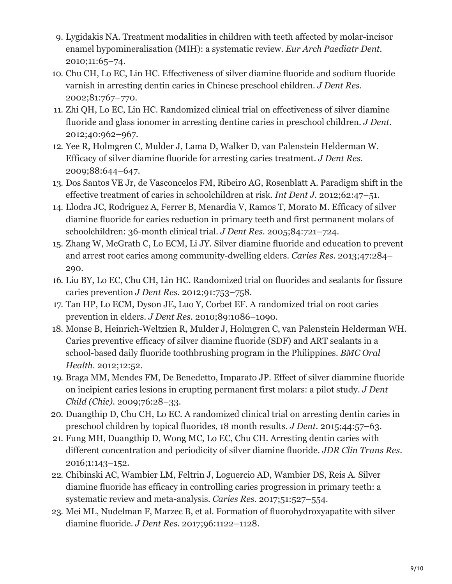- 9. Lygidakis NA. Treatment modalities in children with teeth affected by molar-incisor enamel hypomineralisation (MIH): a systematic review. *Eur Arch Paediatr Dent.* 2010;11:65–74.
- 10. Chu CH, Lo EC, Lin HC. Effectiveness of silver diamine fluoride and sodium fluoride varnish in arresting dentin caries in Chinese preschool children. *J Dent Res.* 2002;81:767–770.
- 11. Zhi QH, Lo EC, Lin HC. Randomized clinical trial on effectiveness of silver diamine fluoride and glass ionomer in arresting dentine caries in preschool children. *J Dent.* 2012;40:962–967.
- 12. Yee R, Holmgren C, Mulder J, Lama D, Walker D, van Palenstein Helderman W. Efficacy of silver diamine fluoride for arresting caries treatment. *J Dent Res.* 2009;88:644–647.
- 13. Dos Santos VE Jr, de Vasconcelos FM, Ribeiro AG, Rosenblatt A. Paradigm shift in the effective treatment of caries in schoolchildren at risk. *Int Dent J.* 2012;62:47–51.
- 14. Llodra JC, Rodriguez A, Ferrer B, Menardia V, Ramos T, Morato M. Efficacy of silver diamine fluoride for caries reduction in primary teeth and first permanent molars of schoolchildren: 36-month clinical trial. *J Dent Res.* 2005;84:721–724.
- 15. Zhang W, McGrath C, Lo ECM, Li JY. Silver diamine fluoride and education to prevent and arrest root caries among community-dwelling elders. *Caries Res.* 2013;47:284– 290.
- 16. Liu BY, Lo EC, Chu CH, Lin HC. Randomized trial on fluorides and sealants for fissure caries prevention *J Dent Res.* 2012;91:753–758.
- 17. Tan HP, Lo ECM, Dyson JE, Luo Y, Corbet EF. A randomized trial on root caries prevention in elders. *J Dent Res.* 2010;89:1086–1090.
- 18. Monse B, Heinrich-Weltzien R, Mulder J, Holmgren C, van Palenstein Helderman WH. Caries preventive efficacy of silver diamine fluoride (SDF) and ART sealants in a school-based daily fluoride toothbrushing program in the Philippines. *BMC Oral Health.* 2012;12:52.
- 19. Braga MM, Mendes FM, De Benedetto, Imparato JP. Effect of silver diammine fluoride on incipient caries lesions in erupting permanent first molars: a pilot study. *J Dent Child (Chic)*. 2009;76:28–33.
- 20. Duangthip D, Chu CH, Lo EC. A randomized clinical trial on arresting dentin caries in preschool children by topical fluorides, 18 month results. *J Dent.* 2015;44:57–63.
- 21. Fung MH, Duangthip D, Wong MC, Lo EC, Chu CH. Arresting dentin caries with different concentration and periodicity of silver diamine fluoride. *JDR Clin Trans Res.* 2016;1:143–152.
- 22. Chibinski AC, Wambier LM, Feltrin J, Loguercio AD, Wambier DS, Reis A. Silver diamine fluoride has efficacy in controlling caries progression in primary teeth: a systematic review and meta-analysis. *Caries Res.* 2017;51:527–554.
- 23. Mei ML, Nudelman F, Marzec B, et al. Formation of fluorohydroxyapatite with silver diamine fluoride. *J Dent Res*. 2017;96:1122–1128.